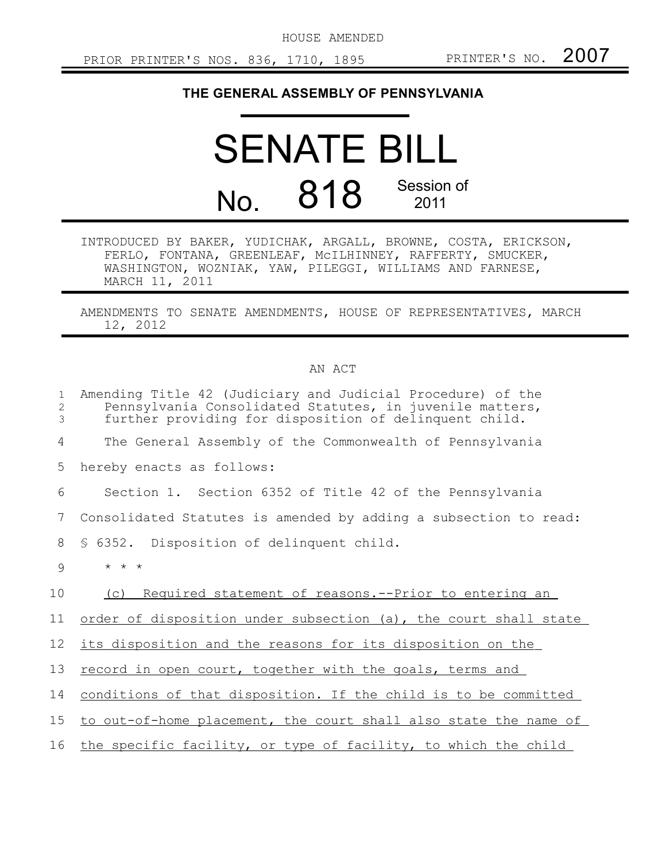HOUSE AMENDED

## **THE GENERAL ASSEMBLY OF PENNSYLVANIA**

## SENATE BILL No. 818 Session of 2011

INTRODUCED BY BAKER, YUDICHAK, ARGALL, BROWNE, COSTA, ERICKSON, FERLO, FONTANA, GREENLEAF, McILHINNEY, RAFFERTY, SMUCKER, WASHINGTON, WOZNIAK, YAW, PILEGGI, WILLIAMS AND FARNESE, MARCH 11, 2011

AMENDMENTS TO SENATE AMENDMENTS, HOUSE OF REPRESENTATIVES, MARCH 12, 2012

## AN ACT

| $\mathbf{1}$<br>2<br>3 | Amending Title 42 (Judiciary and Judicial Procedure) of the<br>Pennsylvania Consolidated Statutes, in juvenile matters,<br>further providing for disposition of delinquent child. |
|------------------------|-----------------------------------------------------------------------------------------------------------------------------------------------------------------------------------|
| 4                      | The General Assembly of the Commonwealth of Pennsylvania                                                                                                                          |
| 5                      | hereby enacts as follows:                                                                                                                                                         |
| 6                      | Section 1. Section 6352 of Title 42 of the Pennsylvania                                                                                                                           |
| 7                      | Consolidated Statutes is amended by adding a subsection to read:                                                                                                                  |
| 8                      | § 6352. Disposition of delinquent child.                                                                                                                                          |
| 9                      | $\star$ $\star$ $\star$                                                                                                                                                           |
| 10                     | Required statement of reasons. -- Prior to entering an<br>(C)                                                                                                                     |
| 11                     | order of disposition under subsection (a), the court shall state                                                                                                                  |
| 12                     | its disposition and the reasons for its disposition on the                                                                                                                        |
| 13                     | record in open court, together with the goals, terms and                                                                                                                          |
| 14                     | conditions of that disposition. If the child is to be committed                                                                                                                   |
| 15 <sub>1</sub>        | to out-of-home placement, the court shall also state the name of                                                                                                                  |
| 16                     | the specific facility, or type of facility, to which the child                                                                                                                    |